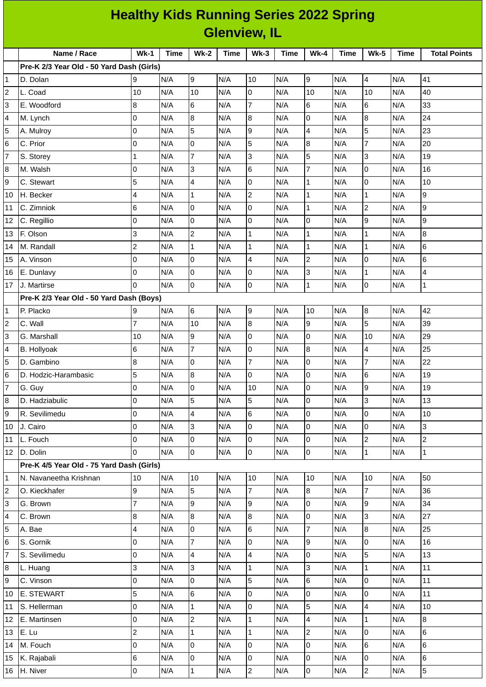|                         | <b>Healthy Kids Running Series 2022 Spring</b> |                     |             |                 |             |                          |             |                          |      |                         |             |                         |  |
|-------------------------|------------------------------------------------|---------------------|-------------|-----------------|-------------|--------------------------|-------------|--------------------------|------|-------------------------|-------------|-------------------------|--|
|                         | <b>Glenview, IL</b>                            |                     |             |                 |             |                          |             |                          |      |                         |             |                         |  |
|                         | Name / Race                                    | $Wk-1$              | <b>Time</b> | $Wk-2$          | <b>Time</b> | $Wk-3$                   | <b>Time</b> | $Wk-4$                   | Time | <b>Wk-5</b>             | <b>Time</b> | <b>Total Points</b>     |  |
|                         | Pre-K 2/3 Year Old - 50 Yard Dash (Girls)      |                     |             |                 |             |                          |             |                          |      |                         |             |                         |  |
| 1                       | D. Dolan                                       | 9                   | N/A         | 9               | N/A         | 10                       | N/A         | 9                        | N/A  | $\overline{4}$          | N/A         | 41                      |  |
| $\overline{\mathbf{c}}$ | L. Coad                                        | 10                  | N/A         | 10              | N/A         | O                        | N/A         | 10                       | N/A  | 10                      | N/A         | 40                      |  |
| 3                       | E. Woodford                                    | 8                   | N/A         | $\,$ 6          | N/A         | $\overline{7}$           | N/A         | 6                        | N/A  | 6                       | N/A         | 33                      |  |
| 4                       | M. Lynch                                       | $\overline{0}$      | N/A         | $\bf{8}$        | N/A         | $\overline{8}$           | N/A         | O                        | N/A  | 8                       | N/A         | 24                      |  |
| 5                       | A. Mulroy                                      | l0                  | N/A         | 5               | N/A         | $\overline{9}$           | N/A         | $\overline{4}$           | N/A  | 5                       | N/A         | 23                      |  |
| 6                       | C. Prior                                       | 0                   | N/A         | 0               | N/A         | 5                        | N/A         | $\boldsymbol{8}$         | N/A  | 7                       | N/A         | 20                      |  |
| 7                       | S. Storey                                      | $\mathbf{1}$        | N/A         | $\overline{7}$  | N/A         | 3                        | N/A         | 5                        | N/A  | 3                       | N/A         | 19                      |  |
| 8                       | M. Walsh                                       | $\overline{0}$      | N/A         | 3               | N/A         | 6                        | N/A         | $\overline{7}$           | N/A  | $\overline{0}$          | N/A         | 16                      |  |
| 9                       | C. Stewart                                     | 5                   | N/A         | 4               | N/A         | O                        | N/A         | $\mathbf{1}$             | N/A  | 0                       | N/A         | 10                      |  |
| 10                      | H. Becker                                      | 4                   | N/A         | $\mathbf{1}$    | N/A         | $\overline{c}$           | N/A         | $\mathbf{1}$             | N/A  | $\mathbf{1}$            | N/A         | g                       |  |
| 11                      | C. Zimniok                                     | 6                   | N/A         | 0               | N/A         | $\mathsf{O}$             | N/A         | $\mathbf 1$              | N/A  | $\overline{c}$          | N/A         | 9                       |  |
| 12                      | C. Regillio                                    | $\overline{0}$      | N/A         | $\overline{0}$  | N/A         | O                        | N/A         | 0                        | N/A  | 9                       | N/A         | 9                       |  |
| 13                      | F. Olson                                       | 3                   | N/A         | $\overline{2}$  | N/A         | $\mathbf{1}$             | N/A         | $\mathbf{1}$             | N/A  | $\mathbf{1}$            | N/A         | $\overline{8}$          |  |
| 14                      | M. Randall                                     | $\mathbf 2$         | N/A         | $\mathbf{1}$    | N/A         | $\mathbf{1}$             | N/A         | $\mathbf 1$              | N/A  | $\mathbf{1}$            | N/A         | 6                       |  |
| 15                      | A. Vinson                                      | $\overline{0}$      | N/A         | 0               | N/A         | $\overline{\mathcal{A}}$ | N/A         | $\mathbf 2$              | N/A  | $\overline{0}$          | N/A         | $6\phantom{.}6$         |  |
| 16                      | E. Dunlavy                                     | l0                  | N/A         | $\mathbf 0$     | N/A         | O                        | N/A         | 3                        | N/A  | $\mathbf{1}$            | N/A         | $\overline{\mathbf{4}}$ |  |
| 17                      | J. Martirse                                    | l0                  | N/A         | 0               | N/A         | 0                        | N/A         | $\mathbf 1$              | N/A  | 0                       | N/A         | $\mathbf 1$             |  |
|                         | Pre-K 2/3 Year Old - 50 Yard Dash (Boys)       |                     |             |                 |             |                          |             |                          |      |                         |             |                         |  |
| 1                       | P. Placko                                      | 9                   | N/A         | $6\phantom{.}6$ | N/A         | 9                        | N/A         | 10                       | N/A  | 8                       | N/A         | 42                      |  |
| 2                       | C. Wall                                        | $\overline{7}$      | N/A         | 10              | N/A         | $\overline{8}$           | N/A         | 9                        | N/A  | 5                       | N/A         | 39                      |  |
| 3                       | G. Marshall                                    | 10                  | N/A         | 9               | N/A         | 0                        | N/A         | 0                        | N/A  | 10                      | N/A         | 29                      |  |
| 4                       | B. Hollyoak                                    | 6                   | N/A         | $\overline{7}$  | N/A         | 0                        | N/A         | 8                        | N/A  | 4                       | N/A         | 25                      |  |
| 5                       | D. Gambino                                     | 8                   | N/A         | 0               | N/A         | $\overline{7}$           | N/A         | $\overline{0}$           | N/A  | $\overline{7}$          | N/A         | 22                      |  |
| 6                       | D. Hodzic-Harambasic                           | 5                   | N/A         | 8               | N/A         | lo                       | N/A         | IО                       | N/A  | 6                       | N/A         | 19                      |  |
| $\overline{7}$          | G. Guy                                         | $\mathsf 0$         | N/A         | 0               | N/A         | 10                       | N/A         | 0                        | N/A  | 9                       | N/A         | 19                      |  |
| 8                       | D. Hadziabulic                                 | $\mathsf 0$         | N/A         | 5               | N/A         | 5                        | N/A         | lo                       | N/A  | $\overline{3}$          | N/A         | 13                      |  |
| 9                       | R. Sevilimedu                                  | $\overline{0}$      | N/A         | 4               | N/A         | 6                        | N/A         | lo                       | N/A  | $\overline{0}$          | N/A         | 10                      |  |
| 10                      | J. Cairo                                       | $\overline{0}$      | N/A         | 3               | N/A         | $\overline{0}$           | N/A         | $\overline{0}$           | N/A  | $\mathsf 0$             | N/A         | 3                       |  |
| $11\,$                  | L. Fouch                                       | l0                  | N/A         | $\pmb{0}$       | N/A         | l0                       | N/A         | $\overline{0}$           | N/A  | $\overline{c}$          | N/A         | $\overline{c}$          |  |
| 12                      | D. Dolin                                       | 0                   | N/A         | $\overline{0}$  | N/A         | $\overline{0}$           | N/A         | 0                        | N/A  | $\mathbf{1}$            | N/A         | $\vert$ 1               |  |
|                         | Pre-K 4/5 Year Old - 75 Yard Dash (Girls)      |                     |             |                 |             |                          |             |                          |      |                         |             |                         |  |
| 1                       | N. Navaneetha Krishnan                         | 10                  | N/A         | 10              | N/A         | 10                       | N/A         | 10                       | N/A  | 10                      | N/A         | 50                      |  |
| $\overline{\mathbf{c}}$ | O. Kieckhafer                                  | 9                   | N/A         | 5               | N/A         | $\overline{7}$           | N/A         | 8                        | N/A  | $\overline{7}$          | N/A         | 36                      |  |
| 3                       | G. Brown                                       | $\overline{7}$      | N/A         | 9               | N/A         | 9                        | N/A         | lo                       | N/A  | 9                       | N/A         | 34                      |  |
| 4                       | C. Brown                                       | $\bf 8$             | N/A         | 8               | N/A         | 8                        | N/A         | lo                       | N/A  | 3                       | N/A         | 27                      |  |
| 5                       | A. Bae                                         | 4                   | N/A         | $\mathsf 0$     | N/A         | 6                        | N/A         | $\overline{7}$           | N/A  | $\overline{8}$          | N/A         | 25                      |  |
| 6                       | S. Gornik                                      | $\mathsf 0$         | N/A         | $\overline{7}$  | N/A         | $\overline{0}$           | N/A         | 9                        | N/A  | $\mathsf 0$             | N/A         | 16                      |  |
| 7                       | S. Sevilimedu                                  | $\mathsf 0$         | N/A         | 4               | N/A         | $\overline{\mathbf{4}}$  | N/A         | $\overline{0}$           | N/A  | 5                       | N/A         | 13                      |  |
| 8                       | L. Huang                                       | 3                   | N/A         | 3               | N/A         | $\mathbf{1}$             | N/A         | 3                        | N/A  | $\mathbf{1}$            | N/A         | 11                      |  |
| 9                       | C. Vinson                                      | $\mathsf 0$         | N/A         | $\mathsf{O}$    | N/A         | 5                        | N/A         | $\,6$                    | N/A  | $\mathsf{O}$            | N/A         | 11                      |  |
| $10\,$                  | <b>E. STEWART</b>                              | 5                   | N/A         | 6               | N/A         | l0                       | N/A         | l0                       | N/A  | $\overline{0}$          | N/A         | $11\,$                  |  |
| 11                      | S. Hellerman                                   | $\mathsf 0$         | N/A         | $\mathbf{1}$    | N/A         | l0                       | N/A         | 5                        | N/A  | $\overline{\mathbf{4}}$ | N/A         | 10                      |  |
| 12                      | E. Martinsen                                   | 0                   | N/A         | $\overline{c}$  | N/A         | $\mathbf{1}$             | N/A         | $\overline{\mathcal{L}}$ | N/A  | $\mathbf{1}$            | N/A         | $\overline{8}$          |  |
| 13                      | E. Lu                                          | $\overline{c}$      | N/A         | $\mathbf 1$     | N/A         | $\mathbf{1}$             | N/A         | $\overline{2}$           | N/A  | 0                       | N/A         | 6                       |  |
| 14                      | M. Fouch                                       | $\mathsf 0$         | N/A         | 0               | N/A         | l0                       | N/A         | lo                       | N/A  | $\,6$                   | N/A         | 6                       |  |
| 15                      | K. Rajabali                                    | $\,$ 6              | N/A         | 0               | N/A         | $\mathsf 0$              | N/A         | l0                       | N/A  | 0                       | N/A         | 6                       |  |
| 16                      | H. Niver                                       | $\mathsf{O}\xspace$ | N/A         | $\mathbf 1$     | N/A         | $\overline{2}$           | N/A         | 0                        | N/A  | $\overline{2}$          | N/A         | 5                       |  |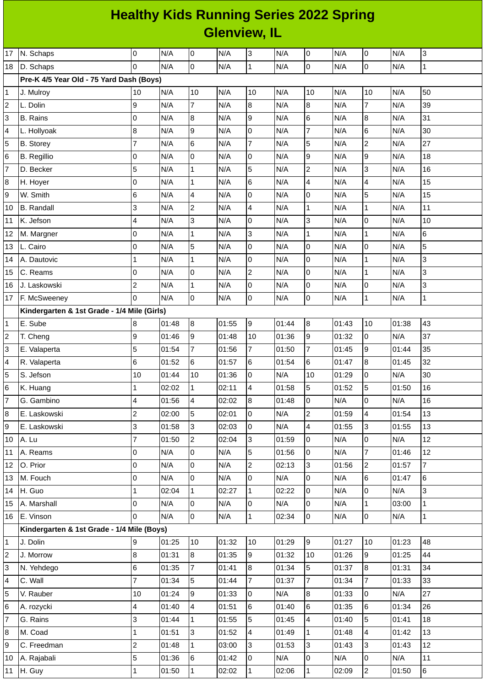| <b>Healthy Kids Running Series 2022 Spring</b> |  |
|------------------------------------------------|--|
| <b>Glenview, IL</b>                            |  |

| 17<br>18                 | N. Schaps<br>D. Schaps                      | 0<br>$\Omega$                 | N/A<br>N/A     | 0<br>l0                        | N/A<br>N/A     | 3<br>$\overline{1}$  | N/A<br>N/A     | 0<br>0               | N/A<br>N/A     | 0<br>$\mathsf{O}$   | N/A<br>N/A | $\overline{3}$<br>$\mathbf{1}$ |
|--------------------------|---------------------------------------------|-------------------------------|----------------|--------------------------------|----------------|----------------------|----------------|----------------------|----------------|---------------------|------------|--------------------------------|
|                          | Pre-K 4/5 Year Old - 75 Yard Dash (Boys)    |                               |                |                                |                |                      |                |                      |                |                     |            |                                |
| $\mathbf 1$              | J. Mulroy                                   | 10                            | N/A            | 10                             | N/A            | 10                   | N/A            | 10                   | N/A            | 10                  | N/A        | 50                             |
| $\overline{c}$           | L. Dolin                                    | 9                             | N/A            | $\overline{7}$                 | N/A            | 8                    | N/A            | 8                    | N/A            | $\overline{7}$      | N/A        | 39                             |
| 3                        | <b>B.</b> Rains                             | $\overline{0}$                | N/A            | $\bf 8$                        | N/A            | 9                    | N/A            | 6                    | N/A            | 8                   | N/A        | 31                             |
| $\overline{\mathcal{L}}$ | L. Hollyoak                                 | $\bf 8$                       | N/A            | $\mathsf g$                    | N/A            | $\overline{0}$       | N/A            | $\overline{7}$       | N/A            | 6                   | N/A        | 30                             |
| 5                        | <b>B.</b> Storey                            | 7                             | N/A            | $\,$ 6                         | N/A            | $\overline{7}$       | N/A            | 5                    | N/A            | $\overline{c}$      | N/A        | 27                             |
| $6\phantom{a}$           | <b>B.</b> Regillio                          | 0                             | N/A            | 0                              | N/A            | $\mathsf{O}$         | N/A            | 9                    | N/A            | 9                   | N/A        | 18                             |
| $\overline{7}$           | D. Becker                                   | 5                             | N/A            | $\mathbf{1}$                   | N/A            | 5                    | N/A            | $\overline{c}$       | N/A            | 3                   | N/A        | 16                             |
| $\bf 8$                  | H. Hoyer                                    | $\mathsf 0$                   | N/A            | $\mathbf{1}$                   | N/A            | $\,$ 6               | N/A            | 4                    | N/A            | 4                   | N/A        | 15                             |
| 9                        | W. Smith                                    | 6                             | N/A            | $\overline{\mathbf{4}}$        | N/A            | $\mathsf 0$          | N/A            | 0                    | N/A            | 5                   | N/A        | 15                             |
| 10                       | <b>B.</b> Randall                           | 3                             | N/A            | $\mathbf 2$                    | N/A            | $\overline{4}$       | N/A            | $\mathbf{1}$         | N/A            | $\mathbf{1}$        | N/A        | 11                             |
| 11                       | K. Jefson                                   | 4                             | N/A            | 3                              | N/A            | $\overline{0}$       | N/A            | 3                    | N/A            | 0                   | N/A        | 10                             |
| 12                       | M. Margner                                  | 0                             | N/A            | $\mathbf{1}$                   | N/A            | 3                    | N/A            | $\mathbf 1$          | N/A            | $\mathbf 1$         | N/A        | 6                              |
| 13                       | L. Cairo                                    | 0                             | N/A            | 5                              | N/A            | $\mathsf 0$          | N/A            | 0                    | N/A            | 0                   | N/A        | 5                              |
| 14                       | A. Dautovic                                 | $\mathbf{1}$                  | N/A            | $\mathbf{1}$                   | N/A            | lo                   | N/A            | 0                    | N/A            | $\mathbf 1$         | N/A        | 3                              |
| 15                       | C. Reams                                    | 0                             | N/A            | $\mathsf 0$                    | N/A            | $\overline{2}$       | N/A            | 0                    | N/A            | $\mathbf 1$         | N/A        | 3                              |
| 16                       | J. Laskowski                                | $\mathbf 2$                   | N/A            | $\mathbf 1$                    | N/A            | $\overline{0}$       | N/A            | 0                    | N/A            | 0                   | N/A        | 3                              |
| 17                       | F. McSweeney                                | 0                             | N/A            | $\mathsf 0$                    | N/A            | $\mathsf 0$          | N/A            | 0                    | N/A            | $\mathbf{1}$        | N/A        | $\mathbf 1$                    |
|                          | Kindergarten & 1st Grade - 1/4 Mile (Girls) |                               |                |                                |                |                      |                |                      |                |                     |            |                                |
| $\mathbf{1}$             | E. Sube                                     | 8                             | 01:48          | 8                              | 01:55          | 9                    | 01:44          | $\, 8$               | 01:43          | 10                  | 01:38      | 43                             |
| $\overline{c}$           | T. Cheng                                    | 9                             | 01:46          | g                              | 01:48          | 10                   | 01:36          | $\boldsymbol{9}$     | 01:32          | $\mathsf{O}$        | N/A        | 37                             |
| 3                        | E. Valaperta                                | 5                             | 01:54          | $\overline{7}$                 | 01:56          | $\overline{7}$       | 01:50          | $\overline{7}$       | 01:45          | 9                   | 01:44      | 35                             |
| $\sqrt{4}$               | R. Valaperta                                | 6                             | 01:52          | $\,6$                          | 01:57          | $\,6$                | 01:54          | 6                    | 01:47          | 8                   | 01:45      | 32                             |
| 5                        | S. Jefson                                   | 10                            | 01:44          | 10                             | 01:36          | Iо                   | N/A            | 10                   | 01:29          | $\overline{0}$      | N/A        | 30                             |
| $\,$ 6                   | K. Huang                                    | $\mathbf{1}$                  | 02:02          | $\mathbf{1}$                   | 02:11          | $\overline{4}$       | 01:58          | 5                    | 01:52          | 5                   | 01:50      | 16                             |
| $\overline{7}$           | G. Gambino                                  | 4                             | 01:56          | $\overline{\mathcal{A}}$       | 02:02          | $\overline{8}$       | 01:48          | 0                    | N/A            | $\Omega$            | N/A        | 16                             |
| 8                        | E. Laskowski                                | $\overline{2}$                | 02:00          | 5                              | 02:01          | $\overline{0}$       | N/A            | $\vert$ <sub>2</sub> | 01:59          | $\vert$ 4           | 01:54      | 13                             |
| 9                        | E. Laskowski                                | 3                             | 01:58          | 3                              | 02:03          | 0                    | N/A            | 4                    | 01:55          | 3                   | 01:55      | 13                             |
| 10                       | A. Lu                                       | $\overline{7}$                | 01:50          | $\overline{2}$                 | 02:04          | 3                    | 01:59          | $\mathsf 0$          | N/A            | $\mathsf{O}$        | N/A        | 12                             |
| 11                       | A. Reams                                    | 0                             | N/A            | $\overline{0}$                 | N/A            | 5                    | 01:56          | 0                    | N/A            | $\overline{7}$      | 01:46      | 12                             |
| 12                       | O. Prior                                    | $\overline{0}$                | N/A            | $\mathsf{O}$                   | N/A            | $\overline{2}$       | 02:13          | 3                    | 01:56          | $\overline{c}$      | 01:57      | $\overline{7}$                 |
| 13                       | M. Fouch                                    | $\mathsf 0$                   | N/A            | $\mathsf{O}$                   | N/A            | lo                   | N/A            | 0                    | N/A            | $6\phantom{a}$      | 01:47      | $\,6$                          |
| 14                       | H. Guo                                      | $\mathbf 1$                   | 02:04          | $\mathbf{1}$                   | 02:27          | $\mathbf{1}$         | 02:22          | 0                    | N/A            | $\mathsf 0$         | N/A        | 3                              |
| 15                       | A. Marshall                                 | 0                             | N/A            | 0                              | N/A            | $\mathsf{O}$         | N/A            | 0                    | N/A            | $\mathbf{1}$        | 03:00      | $\mathbf{1}$                   |
|                          | 16 E. Vinson                                | $\Omega$                      | N/A            | lo.                            | N/A            | $\overline{1}$       | 02:34          | $\overline{0}$       | N/A            | $\mathsf{O}$        | N/A        | $\mathbf{1}$                   |
|                          | Kindergarten & 1st Grade - 1/4 Mile (Boys)  |                               |                |                                |                |                      |                |                      |                |                     |            |                                |
| $\mathbf 1$              | J. Dolin                                    | 9                             | 01:25          | 10                             | 01:32          | 10                   | 01:29          | 9                    | 01:27          | 10                  | 01:23      | 48                             |
| $\overline{c}$           | J. Morrow                                   | 8                             | 01:31          | 8                              | 01:35          | 9                    | 01:32          | 10                   | 01:26          | $\overline{9}$      | 01:25      | 44                             |
| 3                        | N. Yehdego                                  | $\bf 6$                       | 01:35          | $\overline{7}$                 | 01:41          | 8                    | 01:34          | 5                    | 01:37          | 8                   | 01:31      | 34                             |
| $\overline{\mathcal{A}}$ | C. Wall                                     | $\overline{7}$                | 01:34          | 5                              | 01:44          | $\overline{7}$       | 01:37          | $\overline{7}$       | 01:34          | $\overline{7}$      | 01:33      | 33                             |
| 5                        | V. Rauber                                   | 10                            | 01:24          | 9                              | 01:33          | 0                    | N/A            | $\, 8$               | 01:33          | $\mathsf{O}$        | N/A        | 27                             |
| $\,$ 6<br>$\overline{7}$ | A. rozycki                                  | $\overline{\mathbf{4}}$       | 01:40          | $\overline{4}$                 | 01:51          | 6<br>5               | 01:40          | $6\phantom{.}$       | 01:35          | $6\phantom{a}$<br>5 | 01:34      | 26                             |
|                          | G. Rains                                    | 3                             | 01:44          | $\mathbf{1}$                   | 01:55          |                      | 01:45          | $\overline{4}$       | 01:40          |                     | 01:41      | 18                             |
| $\bf 8$                  | M. Coad                                     | $\mathbf 1$<br>$\overline{c}$ | 01:51<br>01:48 | $\overline{3}$<br>$\mathbf{1}$ | 01:52          | $\overline{4}$<br>Iз | 01:49<br>01:53 | $\mathbf{1}$<br>3    | 01:48<br>01:43 | $\overline{4}$<br>3 | 01:42      | 13<br>12                       |
| 9                        | C. Freedman                                 | 5                             |                |                                | 03:00<br>01:42 | 0                    | N/A            |                      | N/A            | $\mathsf 0$         | 01:43      | $11\,$                         |
| 10                       | A. Rajabali<br>11 H. Guy                    | $\mathbf 1$                   | 01:36<br>01:50 | 6                              | 02:02          | $\vert$ 1            | 02:06          | 0                    |                | $\overline{c}$      | N/A        | $6\overline{6}$                |
|                          |                                             |                               |                | $\mathbf{1}$                   |                |                      |                | $\mathbf 1$          | 02:09          |                     | 01:50      |                                |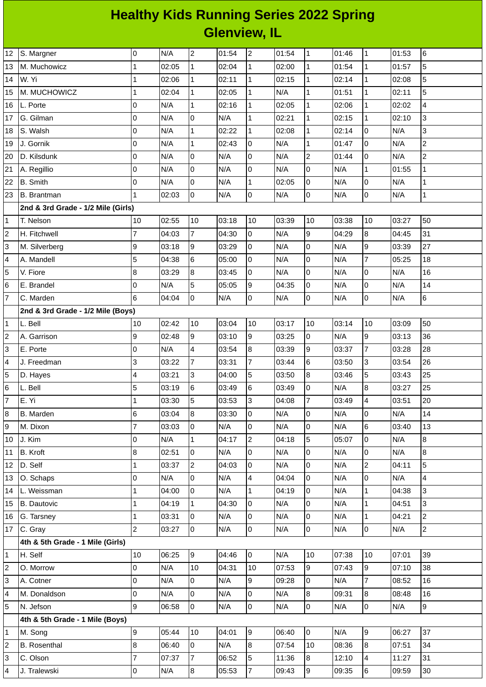## **Healthy Kids Running Series 2022 Spring Glenview, IL**

| 0<br>$\overline{c}$<br>$\overline{c}$<br>$\,6$<br>N/A<br>01:54<br>01:54<br>$\mathbf 1$<br>01:46<br>$\mathbf 1$<br>01:53<br>12<br>S. Margner<br>$\mathbf{1}$<br>$\mathbf{1}$<br>5<br>$\mathbf{1}$<br>02:05<br>$\overline{1}$<br>02:00<br>01:54<br>$\mathbf 1$<br>01:57<br>M. Muchowicz<br>02:04<br>13<br>5<br>1<br>$\overline{1}$<br>$\mathbf 1$<br>W. Yi<br>02:06<br>$\mathbf{1}$<br>02:11<br>02:15<br>02:14<br>$\mathbf{1}$<br>02:08<br>14<br>$\overline{5}$<br>$\overline{1}$<br>$\mathbf{1}$<br>$\mathbf{1}$<br>02:04<br>$\mathbf{1}$<br>02:05<br>N/A<br>01:51<br>$\mathbf 1$<br>M. MUCHOWICZ<br>02:11<br>15<br>$\mathbf{1}$<br>$\overline{4}$<br>0<br>N/A<br>$\mathbf{1}$<br>02:05<br>02:06<br>L. Porte<br>02:16<br>$\mathbf{1}$<br>$\mathbf{1}$<br>02:02<br>16<br>0<br>0<br>3<br>G. Gilman<br>N/A<br>$\mathbf{1}$<br>02:21<br>$\mathbf 1$<br>02:15<br>$\mathbf 1$<br>02:10<br>17<br>N/A<br>0<br>$\mathbf{1}$<br>$\overline{1}$<br>$\mathbf{1}$<br>0<br>3<br>N/A<br>02:22<br>02:08<br>N/A<br>S. Walsh<br>02:14<br>18<br>$\overline{c}$<br>0<br>$\mathbf{1}$<br>02:43<br>N/A<br>$\mathbf 1$<br>l0<br>N/A<br>J. Gornik<br>N/A<br>0<br>01:47<br>19<br>$\overline{c}$<br>0<br>0<br>$\mathbf 2$<br>l0<br>N/A<br>0<br>N/A<br>20<br>D. Kilsdunk<br>N/A<br>N/A<br>01:44<br>0<br>lo<br>0<br>N/A<br>l0<br>$\mathbf 1$<br>21<br>N/A<br>N/A<br>N/A<br>01:55<br>$\mathbf{1}$<br>A. Regillio<br>0<br>0<br>$\overline{1}$<br>lo<br>N/A<br>0<br>N/A<br>$\mathbf 1$<br>22<br><b>B.</b> Smith<br>N/A<br>N/A<br>02:05<br>$\mathbf 1$<br>$\overline{0}$<br>l0<br>lo<br>0<br>$\mathbf 1$<br>02:03<br>N/A<br>N/A<br>N/A<br><b>B.</b> Brantman<br>N/A<br>23<br>2nd & 3rd Grade - 1/2 Mile (Girls)<br>10<br>03:18<br>10<br>50<br>T. Nelson<br>10<br>02:55<br>03:39<br>10<br>03:38<br>10<br>03:27<br>1<br>$\overline{7}$<br>$\overline{7}$<br>lo<br>$\mathsf g$<br>$\overline{8}$<br>31<br>N/A<br>04:29<br>2<br>H. Fitchwell<br>04:03<br>04:30<br>04:45<br>9<br>27<br>03:18<br>9<br>l0<br>N/A<br>l0<br>N/A<br>3<br>M. Silverberg<br>9<br>03:29<br>03:39<br>5<br>$\overline{7}$<br>6<br>l0<br>$\overline{0}$<br>04:38<br>N/A<br>N/A<br>05:25<br>18<br>4<br>A. Mandell<br>05:00<br>l0<br>$\overline{0}$<br>8<br>8<br>0<br>16<br>5<br>V. Fiore<br>03:29<br>03:45<br>N/A<br>N/A<br>N/A<br>5<br>0<br>0<br>N/A<br>05:05<br>9<br>lo<br>N/A<br>N/A<br>14<br>6<br>E. Brandel<br>04:35<br>6<br>$\overline{0}$<br>0<br>6<br>7<br>l0<br>N/A<br>lo<br>N/A<br>C. Marden<br>04:04<br>N/A<br>N/A<br>2nd & 3rd Grade - 1/2 Mile (Boys)<br>02:42<br>10<br>03:04<br>03:17<br>10<br>50<br>L. Bell<br>10<br>10<br>03:14<br>10<br>03:09<br>1<br>g <br>lo<br>9<br>9<br>9<br>36<br>02:48<br>03:10<br>03:25<br>N/A<br>$\overline{\mathbf{c}}$<br>A. Garrison<br>03:13<br>9<br>$\overline{7}$<br>N/A<br>4<br>03:54<br>8<br>03:39<br>03:37<br>28<br>3<br>E. Porte<br>0<br>03:28<br>$\overline{7}$<br>3<br>$\overline{7}$<br>6<br>J. Freedman<br>03:31<br>03:50<br>3<br>26<br>4<br>03:22<br>03:44<br>03:54<br>5<br>$\overline{8}$<br>5<br>4<br>3<br>25<br>5<br>03:21<br>04:00<br>03:50<br>03:46<br>03:43<br>D. Hayes<br>5<br>6<br>03:49<br>6<br>03:49<br>lo<br>N/A<br>8<br>25<br>6<br>L. Bell<br>03:19<br>03:27<br>$\overline{7}$<br>$\overline{7}$<br>E. Yi<br>5<br>$\overline{4}$<br>$\mathbf{1}$<br>$\overline{3}$<br>20<br>03:30<br>04:08<br>03:49<br>03:53<br>03:51<br>N/A<br>6<br>03:04<br>8<br>03:30<br>l0<br>l0<br>N/A<br>0<br>N/A<br>14<br>8<br>B. Marden<br>$\overline{7}$<br>N/A<br>lo<br>6<br>13<br>M. Dixon<br>03:03<br>0<br>N/A<br>0<br>N/A<br>03:40<br>$\overline{2}$<br>5<br>0<br>0<br>8<br>J. Kim<br>N/A<br>$\mathbf{1}$<br>04:17<br>04:18<br>05:07<br>N/A<br>$\overline{8}$<br>$\mathsf{O}$<br>$\overline{0}$<br><b>B.</b> Kroft<br>8<br>02:51<br>N/A<br>l0<br>N/A<br>l0<br>N/A<br>N/A<br>11<br>5<br>$\overline{c}$<br>l0<br>N/A<br>lo<br>D. Self<br>1<br>03:37<br>$\overline{c}$<br>04:03<br>N/A<br>04:11<br>12<br>0<br>0<br>$\overline{4}$<br>lo<br>0<br>N/A<br>N/A<br>4<br>O. Schaps<br>N/A<br>04:04<br>N/A<br>13<br>$\mathbf 1$<br>3<br>04:00<br>$\mathsf{O}$<br>N/A<br>$\mathbf{1}$<br>04:19<br>N/A<br>04:38<br>14<br>L. Weissman<br>1<br>$\overline{0}$<br>$\mathbf{1}$<br>lo<br>N/A<br>$\mathbf 1$<br>3<br>04:19<br>$\mathbf{1}$<br>04:30<br>0<br>N/A<br>04:51<br>15<br><b>B.</b> Dautovic<br>$\overline{2}$<br>03:31<br>0<br>$\mathsf{O}$<br>N/A<br>lo<br>$\mathbf 1$<br>G. Tarsney<br>1<br>N/A<br>N/A<br>04:21<br>16<br>$\overline{c}$<br>$\overline{2}$<br>l0<br>l0<br>0<br>$\overline{0}$<br>03:27<br>N/A<br>N/A<br>N/A<br>N/A<br>C. Gray<br>4th & 5th Grade - 1 Mile (Girls)<br>06:25<br>9<br>N/A<br>07:38<br>39<br>H. Self<br>10<br>04:46<br>l0<br>10<br>10<br>07:01<br>1<br>0<br>9<br>9<br>2<br>O. Morrow<br>N/A<br>10<br>04:31<br>10<br>07:53<br>07:43<br>07:10<br>38<br>0<br>0<br>$\overline{7}$<br>l9<br>lo<br>N/A<br>16<br>3<br>N/A<br>09:28<br>N/A<br>08:52<br>A. Cotner<br>$\mathsf 0$<br>0<br>N/A<br>0<br>N/A<br>N/A<br>$\, 8$<br>09:31<br>8<br>16<br>M. Donaldson<br>08:48<br>4<br>9<br>5<br>0<br>l0<br>lo<br>$\overline{9}$<br>N/A<br>N/A<br>0<br>N/A<br>06:58<br>N/A<br>N. Jefson<br>4th & 5th Grade - 1 Mile (Boys)<br>9<br>05:44<br>10<br>04:01<br>9<br>06:40<br>l0<br>N/A<br>9<br>37<br>M. Song<br>06:27<br>1<br>8<br>$\mathbf 0$<br>8<br>8<br>34<br>$\overline{c}$<br>07:54<br>$10\,$<br><b>B.</b> Rosenthal<br>06:40<br>N/A<br>08:36<br>07:51<br>$\overline{7}$<br>$\overline{7}$<br>5<br>C. Olson<br>07:37<br>06:52<br>11:36<br>8<br>12:10<br>4<br>31<br>3<br>11:27 |  |  |  |  |  |  |  |
|--------------------------------------------------------------------------------------------------------------------------------------------------------------------------------------------------------------------------------------------------------------------------------------------------------------------------------------------------------------------------------------------------------------------------------------------------------------------------------------------------------------------------------------------------------------------------------------------------------------------------------------------------------------------------------------------------------------------------------------------------------------------------------------------------------------------------------------------------------------------------------------------------------------------------------------------------------------------------------------------------------------------------------------------------------------------------------------------------------------------------------------------------------------------------------------------------------------------------------------------------------------------------------------------------------------------------------------------------------------------------------------------------------------------------------------------------------------------------------------------------------------------------------------------------------------------------------------------------------------------------------------------------------------------------------------------------------------------------------------------------------------------------------------------------------------------------------------------------------------------------------------------------------------------------------------------------------------------------------------------------------------------------------------------------------------------------------------------------------------------------------------------------------------------------------------------------------------------------------------------------------------------------------------------------------------------------------------------------------------------------------------------------------------------------------------------------------------------------------------------------------------------------------------------------------------------------------------------------------------------------------------------------------------------------------------------------------------------------------------------------------------------------------------------------------------------------------------------------------------------------------------------------------------------------------------------------------------------------------------------------------------------------------------------------------------------------------------------------------------------------------------------------------------------------------------------------------------------------------------------------------------------------------------------------------------------------------------------------------------------------------------------------------------------------------------------------------------------------------------------------------------------------------------------------------------------------------------------------------------------------------------------------------------------------------------------------------------------------------------------------------------------------------------------------------------------------------------------------------------------------------------------------------------------------------------------------------------------------------------------------------------------------------------------------------------------------------------------------------------------------------------------------------------------------------------------------------------------------------------------------------------------------------------------------------------------------------------------------------------------------------------------------------------------------------------------------------------------------------------------------------------------------------------------------------------------------------------------------------------------------------------------------------------------------------------------------------------------------------------------------------------------------------------------------------------------------------------------------------------------------------------------------------------------------------------------------------------------------------------------------------------------------------------------------------------------------------------------------------------------------------------------------------------------------------------------------------------------------------------------------------------------------------------------------------------------------------------------------------------------------------------------------------------------------------------------------------------------|--|--|--|--|--|--|--|
|                                                                                                                                                                                                                                                                                                                                                                                                                                                                                                                                                                                                                                                                                                                                                                                                                                                                                                                                                                                                                                                                                                                                                                                                                                                                                                                                                                                                                                                                                                                                                                                                                                                                                                                                                                                                                                                                                                                                                                                                                                                                                                                                                                                                                                                                                                                                                                                                                                                                                                                                                                                                                                                                                                                                                                                                                                                                                                                                                                                                                                                                                                                                                                                                                                                                                                                                                                                                                                                                                                                                                                                                                                                                                                                                                                                                                                                                                                                                                                                                                                                                                                                                                                                                                                                                                                                                                                                                                                                                                                                                                                                                                                                                                                                                                                                                                                                                                                                                                                                                                                                                                                                                                                                                                                                                                                                                                                                                                                                                    |  |  |  |  |  |  |  |
|                                                                                                                                                                                                                                                                                                                                                                                                                                                                                                                                                                                                                                                                                                                                                                                                                                                                                                                                                                                                                                                                                                                                                                                                                                                                                                                                                                                                                                                                                                                                                                                                                                                                                                                                                                                                                                                                                                                                                                                                                                                                                                                                                                                                                                                                                                                                                                                                                                                                                                                                                                                                                                                                                                                                                                                                                                                                                                                                                                                                                                                                                                                                                                                                                                                                                                                                                                                                                                                                                                                                                                                                                                                                                                                                                                                                                                                                                                                                                                                                                                                                                                                                                                                                                                                                                                                                                                                                                                                                                                                                                                                                                                                                                                                                                                                                                                                                                                                                                                                                                                                                                                                                                                                                                                                                                                                                                                                                                                                                    |  |  |  |  |  |  |  |
|                                                                                                                                                                                                                                                                                                                                                                                                                                                                                                                                                                                                                                                                                                                                                                                                                                                                                                                                                                                                                                                                                                                                                                                                                                                                                                                                                                                                                                                                                                                                                                                                                                                                                                                                                                                                                                                                                                                                                                                                                                                                                                                                                                                                                                                                                                                                                                                                                                                                                                                                                                                                                                                                                                                                                                                                                                                                                                                                                                                                                                                                                                                                                                                                                                                                                                                                                                                                                                                                                                                                                                                                                                                                                                                                                                                                                                                                                                                                                                                                                                                                                                                                                                                                                                                                                                                                                                                                                                                                                                                                                                                                                                                                                                                                                                                                                                                                                                                                                                                                                                                                                                                                                                                                                                                                                                                                                                                                                                                                    |  |  |  |  |  |  |  |
|                                                                                                                                                                                                                                                                                                                                                                                                                                                                                                                                                                                                                                                                                                                                                                                                                                                                                                                                                                                                                                                                                                                                                                                                                                                                                                                                                                                                                                                                                                                                                                                                                                                                                                                                                                                                                                                                                                                                                                                                                                                                                                                                                                                                                                                                                                                                                                                                                                                                                                                                                                                                                                                                                                                                                                                                                                                                                                                                                                                                                                                                                                                                                                                                                                                                                                                                                                                                                                                                                                                                                                                                                                                                                                                                                                                                                                                                                                                                                                                                                                                                                                                                                                                                                                                                                                                                                                                                                                                                                                                                                                                                                                                                                                                                                                                                                                                                                                                                                                                                                                                                                                                                                                                                                                                                                                                                                                                                                                                                    |  |  |  |  |  |  |  |
| 9<br>10<br>17                                                                                                                                                                                                                                                                                                                                                                                                                                                                                                                                                                                                                                                                                                                                                                                                                                                                                                                                                                                                                                                                                                                                                                                                                                                                                                                                                                                                                                                                                                                                                                                                                                                                                                                                                                                                                                                                                                                                                                                                                                                                                                                                                                                                                                                                                                                                                                                                                                                                                                                                                                                                                                                                                                                                                                                                                                                                                                                                                                                                                                                                                                                                                                                                                                                                                                                                                                                                                                                                                                                                                                                                                                                                                                                                                                                                                                                                                                                                                                                                                                                                                                                                                                                                                                                                                                                                                                                                                                                                                                                                                                                                                                                                                                                                                                                                                                                                                                                                                                                                                                                                                                                                                                                                                                                                                                                                                                                                                                                      |  |  |  |  |  |  |  |
|                                                                                                                                                                                                                                                                                                                                                                                                                                                                                                                                                                                                                                                                                                                                                                                                                                                                                                                                                                                                                                                                                                                                                                                                                                                                                                                                                                                                                                                                                                                                                                                                                                                                                                                                                                                                                                                                                                                                                                                                                                                                                                                                                                                                                                                                                                                                                                                                                                                                                                                                                                                                                                                                                                                                                                                                                                                                                                                                                                                                                                                                                                                                                                                                                                                                                                                                                                                                                                                                                                                                                                                                                                                                                                                                                                                                                                                                                                                                                                                                                                                                                                                                                                                                                                                                                                                                                                                                                                                                                                                                                                                                                                                                                                                                                                                                                                                                                                                                                                                                                                                                                                                                                                                                                                                                                                                                                                                                                                                                    |  |  |  |  |  |  |  |
|                                                                                                                                                                                                                                                                                                                                                                                                                                                                                                                                                                                                                                                                                                                                                                                                                                                                                                                                                                                                                                                                                                                                                                                                                                                                                                                                                                                                                                                                                                                                                                                                                                                                                                                                                                                                                                                                                                                                                                                                                                                                                                                                                                                                                                                                                                                                                                                                                                                                                                                                                                                                                                                                                                                                                                                                                                                                                                                                                                                                                                                                                                                                                                                                                                                                                                                                                                                                                                                                                                                                                                                                                                                                                                                                                                                                                                                                                                                                                                                                                                                                                                                                                                                                                                                                                                                                                                                                                                                                                                                                                                                                                                                                                                                                                                                                                                                                                                                                                                                                                                                                                                                                                                                                                                                                                                                                                                                                                                                                    |  |  |  |  |  |  |  |
|                                                                                                                                                                                                                                                                                                                                                                                                                                                                                                                                                                                                                                                                                                                                                                                                                                                                                                                                                                                                                                                                                                                                                                                                                                                                                                                                                                                                                                                                                                                                                                                                                                                                                                                                                                                                                                                                                                                                                                                                                                                                                                                                                                                                                                                                                                                                                                                                                                                                                                                                                                                                                                                                                                                                                                                                                                                                                                                                                                                                                                                                                                                                                                                                                                                                                                                                                                                                                                                                                                                                                                                                                                                                                                                                                                                                                                                                                                                                                                                                                                                                                                                                                                                                                                                                                                                                                                                                                                                                                                                                                                                                                                                                                                                                                                                                                                                                                                                                                                                                                                                                                                                                                                                                                                                                                                                                                                                                                                                                    |  |  |  |  |  |  |  |
|                                                                                                                                                                                                                                                                                                                                                                                                                                                                                                                                                                                                                                                                                                                                                                                                                                                                                                                                                                                                                                                                                                                                                                                                                                                                                                                                                                                                                                                                                                                                                                                                                                                                                                                                                                                                                                                                                                                                                                                                                                                                                                                                                                                                                                                                                                                                                                                                                                                                                                                                                                                                                                                                                                                                                                                                                                                                                                                                                                                                                                                                                                                                                                                                                                                                                                                                                                                                                                                                                                                                                                                                                                                                                                                                                                                                                                                                                                                                                                                                                                                                                                                                                                                                                                                                                                                                                                                                                                                                                                                                                                                                                                                                                                                                                                                                                                                                                                                                                                                                                                                                                                                                                                                                                                                                                                                                                                                                                                                                    |  |  |  |  |  |  |  |
|                                                                                                                                                                                                                                                                                                                                                                                                                                                                                                                                                                                                                                                                                                                                                                                                                                                                                                                                                                                                                                                                                                                                                                                                                                                                                                                                                                                                                                                                                                                                                                                                                                                                                                                                                                                                                                                                                                                                                                                                                                                                                                                                                                                                                                                                                                                                                                                                                                                                                                                                                                                                                                                                                                                                                                                                                                                                                                                                                                                                                                                                                                                                                                                                                                                                                                                                                                                                                                                                                                                                                                                                                                                                                                                                                                                                                                                                                                                                                                                                                                                                                                                                                                                                                                                                                                                                                                                                                                                                                                                                                                                                                                                                                                                                                                                                                                                                                                                                                                                                                                                                                                                                                                                                                                                                                                                                                                                                                                                                    |  |  |  |  |  |  |  |
|                                                                                                                                                                                                                                                                                                                                                                                                                                                                                                                                                                                                                                                                                                                                                                                                                                                                                                                                                                                                                                                                                                                                                                                                                                                                                                                                                                                                                                                                                                                                                                                                                                                                                                                                                                                                                                                                                                                                                                                                                                                                                                                                                                                                                                                                                                                                                                                                                                                                                                                                                                                                                                                                                                                                                                                                                                                                                                                                                                                                                                                                                                                                                                                                                                                                                                                                                                                                                                                                                                                                                                                                                                                                                                                                                                                                                                                                                                                                                                                                                                                                                                                                                                                                                                                                                                                                                                                                                                                                                                                                                                                                                                                                                                                                                                                                                                                                                                                                                                                                                                                                                                                                                                                                                                                                                                                                                                                                                                                                    |  |  |  |  |  |  |  |
|                                                                                                                                                                                                                                                                                                                                                                                                                                                                                                                                                                                                                                                                                                                                                                                                                                                                                                                                                                                                                                                                                                                                                                                                                                                                                                                                                                                                                                                                                                                                                                                                                                                                                                                                                                                                                                                                                                                                                                                                                                                                                                                                                                                                                                                                                                                                                                                                                                                                                                                                                                                                                                                                                                                                                                                                                                                                                                                                                                                                                                                                                                                                                                                                                                                                                                                                                                                                                                                                                                                                                                                                                                                                                                                                                                                                                                                                                                                                                                                                                                                                                                                                                                                                                                                                                                                                                                                                                                                                                                                                                                                                                                                                                                                                                                                                                                                                                                                                                                                                                                                                                                                                                                                                                                                                                                                                                                                                                                                                    |  |  |  |  |  |  |  |
|                                                                                                                                                                                                                                                                                                                                                                                                                                                                                                                                                                                                                                                                                                                                                                                                                                                                                                                                                                                                                                                                                                                                                                                                                                                                                                                                                                                                                                                                                                                                                                                                                                                                                                                                                                                                                                                                                                                                                                                                                                                                                                                                                                                                                                                                                                                                                                                                                                                                                                                                                                                                                                                                                                                                                                                                                                                                                                                                                                                                                                                                                                                                                                                                                                                                                                                                                                                                                                                                                                                                                                                                                                                                                                                                                                                                                                                                                                                                                                                                                                                                                                                                                                                                                                                                                                                                                                                                                                                                                                                                                                                                                                                                                                                                                                                                                                                                                                                                                                                                                                                                                                                                                                                                                                                                                                                                                                                                                                                                    |  |  |  |  |  |  |  |
|                                                                                                                                                                                                                                                                                                                                                                                                                                                                                                                                                                                                                                                                                                                                                                                                                                                                                                                                                                                                                                                                                                                                                                                                                                                                                                                                                                                                                                                                                                                                                                                                                                                                                                                                                                                                                                                                                                                                                                                                                                                                                                                                                                                                                                                                                                                                                                                                                                                                                                                                                                                                                                                                                                                                                                                                                                                                                                                                                                                                                                                                                                                                                                                                                                                                                                                                                                                                                                                                                                                                                                                                                                                                                                                                                                                                                                                                                                                                                                                                                                                                                                                                                                                                                                                                                                                                                                                                                                                                                                                                                                                                                                                                                                                                                                                                                                                                                                                                                                                                                                                                                                                                                                                                                                                                                                                                                                                                                                                                    |  |  |  |  |  |  |  |
|                                                                                                                                                                                                                                                                                                                                                                                                                                                                                                                                                                                                                                                                                                                                                                                                                                                                                                                                                                                                                                                                                                                                                                                                                                                                                                                                                                                                                                                                                                                                                                                                                                                                                                                                                                                                                                                                                                                                                                                                                                                                                                                                                                                                                                                                                                                                                                                                                                                                                                                                                                                                                                                                                                                                                                                                                                                                                                                                                                                                                                                                                                                                                                                                                                                                                                                                                                                                                                                                                                                                                                                                                                                                                                                                                                                                                                                                                                                                                                                                                                                                                                                                                                                                                                                                                                                                                                                                                                                                                                                                                                                                                                                                                                                                                                                                                                                                                                                                                                                                                                                                                                                                                                                                                                                                                                                                                                                                                                                                    |  |  |  |  |  |  |  |
|                                                                                                                                                                                                                                                                                                                                                                                                                                                                                                                                                                                                                                                                                                                                                                                                                                                                                                                                                                                                                                                                                                                                                                                                                                                                                                                                                                                                                                                                                                                                                                                                                                                                                                                                                                                                                                                                                                                                                                                                                                                                                                                                                                                                                                                                                                                                                                                                                                                                                                                                                                                                                                                                                                                                                                                                                                                                                                                                                                                                                                                                                                                                                                                                                                                                                                                                                                                                                                                                                                                                                                                                                                                                                                                                                                                                                                                                                                                                                                                                                                                                                                                                                                                                                                                                                                                                                                                                                                                                                                                                                                                                                                                                                                                                                                                                                                                                                                                                                                                                                                                                                                                                                                                                                                                                                                                                                                                                                                                                    |  |  |  |  |  |  |  |
|                                                                                                                                                                                                                                                                                                                                                                                                                                                                                                                                                                                                                                                                                                                                                                                                                                                                                                                                                                                                                                                                                                                                                                                                                                                                                                                                                                                                                                                                                                                                                                                                                                                                                                                                                                                                                                                                                                                                                                                                                                                                                                                                                                                                                                                                                                                                                                                                                                                                                                                                                                                                                                                                                                                                                                                                                                                                                                                                                                                                                                                                                                                                                                                                                                                                                                                                                                                                                                                                                                                                                                                                                                                                                                                                                                                                                                                                                                                                                                                                                                                                                                                                                                                                                                                                                                                                                                                                                                                                                                                                                                                                                                                                                                                                                                                                                                                                                                                                                                                                                                                                                                                                                                                                                                                                                                                                                                                                                                                                    |  |  |  |  |  |  |  |
|                                                                                                                                                                                                                                                                                                                                                                                                                                                                                                                                                                                                                                                                                                                                                                                                                                                                                                                                                                                                                                                                                                                                                                                                                                                                                                                                                                                                                                                                                                                                                                                                                                                                                                                                                                                                                                                                                                                                                                                                                                                                                                                                                                                                                                                                                                                                                                                                                                                                                                                                                                                                                                                                                                                                                                                                                                                                                                                                                                                                                                                                                                                                                                                                                                                                                                                                                                                                                                                                                                                                                                                                                                                                                                                                                                                                                                                                                                                                                                                                                                                                                                                                                                                                                                                                                                                                                                                                                                                                                                                                                                                                                                                                                                                                                                                                                                                                                                                                                                                                                                                                                                                                                                                                                                                                                                                                                                                                                                                                    |  |  |  |  |  |  |  |
|                                                                                                                                                                                                                                                                                                                                                                                                                                                                                                                                                                                                                                                                                                                                                                                                                                                                                                                                                                                                                                                                                                                                                                                                                                                                                                                                                                                                                                                                                                                                                                                                                                                                                                                                                                                                                                                                                                                                                                                                                                                                                                                                                                                                                                                                                                                                                                                                                                                                                                                                                                                                                                                                                                                                                                                                                                                                                                                                                                                                                                                                                                                                                                                                                                                                                                                                                                                                                                                                                                                                                                                                                                                                                                                                                                                                                                                                                                                                                                                                                                                                                                                                                                                                                                                                                                                                                                                                                                                                                                                                                                                                                                                                                                                                                                                                                                                                                                                                                                                                                                                                                                                                                                                                                                                                                                                                                                                                                                                                    |  |  |  |  |  |  |  |
|                                                                                                                                                                                                                                                                                                                                                                                                                                                                                                                                                                                                                                                                                                                                                                                                                                                                                                                                                                                                                                                                                                                                                                                                                                                                                                                                                                                                                                                                                                                                                                                                                                                                                                                                                                                                                                                                                                                                                                                                                                                                                                                                                                                                                                                                                                                                                                                                                                                                                                                                                                                                                                                                                                                                                                                                                                                                                                                                                                                                                                                                                                                                                                                                                                                                                                                                                                                                                                                                                                                                                                                                                                                                                                                                                                                                                                                                                                                                                                                                                                                                                                                                                                                                                                                                                                                                                                                                                                                                                                                                                                                                                                                                                                                                                                                                                                                                                                                                                                                                                                                                                                                                                                                                                                                                                                                                                                                                                                                                    |  |  |  |  |  |  |  |
|                                                                                                                                                                                                                                                                                                                                                                                                                                                                                                                                                                                                                                                                                                                                                                                                                                                                                                                                                                                                                                                                                                                                                                                                                                                                                                                                                                                                                                                                                                                                                                                                                                                                                                                                                                                                                                                                                                                                                                                                                                                                                                                                                                                                                                                                                                                                                                                                                                                                                                                                                                                                                                                                                                                                                                                                                                                                                                                                                                                                                                                                                                                                                                                                                                                                                                                                                                                                                                                                                                                                                                                                                                                                                                                                                                                                                                                                                                                                                                                                                                                                                                                                                                                                                                                                                                                                                                                                                                                                                                                                                                                                                                                                                                                                                                                                                                                                                                                                                                                                                                                                                                                                                                                                                                                                                                                                                                                                                                                                    |  |  |  |  |  |  |  |
|                                                                                                                                                                                                                                                                                                                                                                                                                                                                                                                                                                                                                                                                                                                                                                                                                                                                                                                                                                                                                                                                                                                                                                                                                                                                                                                                                                                                                                                                                                                                                                                                                                                                                                                                                                                                                                                                                                                                                                                                                                                                                                                                                                                                                                                                                                                                                                                                                                                                                                                                                                                                                                                                                                                                                                                                                                                                                                                                                                                                                                                                                                                                                                                                                                                                                                                                                                                                                                                                                                                                                                                                                                                                                                                                                                                                                                                                                                                                                                                                                                                                                                                                                                                                                                                                                                                                                                                                                                                                                                                                                                                                                                                                                                                                                                                                                                                                                                                                                                                                                                                                                                                                                                                                                                                                                                                                                                                                                                                                    |  |  |  |  |  |  |  |
|                                                                                                                                                                                                                                                                                                                                                                                                                                                                                                                                                                                                                                                                                                                                                                                                                                                                                                                                                                                                                                                                                                                                                                                                                                                                                                                                                                                                                                                                                                                                                                                                                                                                                                                                                                                                                                                                                                                                                                                                                                                                                                                                                                                                                                                                                                                                                                                                                                                                                                                                                                                                                                                                                                                                                                                                                                                                                                                                                                                                                                                                                                                                                                                                                                                                                                                                                                                                                                                                                                                                                                                                                                                                                                                                                                                                                                                                                                                                                                                                                                                                                                                                                                                                                                                                                                                                                                                                                                                                                                                                                                                                                                                                                                                                                                                                                                                                                                                                                                                                                                                                                                                                                                                                                                                                                                                                                                                                                                                                    |  |  |  |  |  |  |  |
|                                                                                                                                                                                                                                                                                                                                                                                                                                                                                                                                                                                                                                                                                                                                                                                                                                                                                                                                                                                                                                                                                                                                                                                                                                                                                                                                                                                                                                                                                                                                                                                                                                                                                                                                                                                                                                                                                                                                                                                                                                                                                                                                                                                                                                                                                                                                                                                                                                                                                                                                                                                                                                                                                                                                                                                                                                                                                                                                                                                                                                                                                                                                                                                                                                                                                                                                                                                                                                                                                                                                                                                                                                                                                                                                                                                                                                                                                                                                                                                                                                                                                                                                                                                                                                                                                                                                                                                                                                                                                                                                                                                                                                                                                                                                                                                                                                                                                                                                                                                                                                                                                                                                                                                                                                                                                                                                                                                                                                                                    |  |  |  |  |  |  |  |
|                                                                                                                                                                                                                                                                                                                                                                                                                                                                                                                                                                                                                                                                                                                                                                                                                                                                                                                                                                                                                                                                                                                                                                                                                                                                                                                                                                                                                                                                                                                                                                                                                                                                                                                                                                                                                                                                                                                                                                                                                                                                                                                                                                                                                                                                                                                                                                                                                                                                                                                                                                                                                                                                                                                                                                                                                                                                                                                                                                                                                                                                                                                                                                                                                                                                                                                                                                                                                                                                                                                                                                                                                                                                                                                                                                                                                                                                                                                                                                                                                                                                                                                                                                                                                                                                                                                                                                                                                                                                                                                                                                                                                                                                                                                                                                                                                                                                                                                                                                                                                                                                                                                                                                                                                                                                                                                                                                                                                                                                    |  |  |  |  |  |  |  |
|                                                                                                                                                                                                                                                                                                                                                                                                                                                                                                                                                                                                                                                                                                                                                                                                                                                                                                                                                                                                                                                                                                                                                                                                                                                                                                                                                                                                                                                                                                                                                                                                                                                                                                                                                                                                                                                                                                                                                                                                                                                                                                                                                                                                                                                                                                                                                                                                                                                                                                                                                                                                                                                                                                                                                                                                                                                                                                                                                                                                                                                                                                                                                                                                                                                                                                                                                                                                                                                                                                                                                                                                                                                                                                                                                                                                                                                                                                                                                                                                                                                                                                                                                                                                                                                                                                                                                                                                                                                                                                                                                                                                                                                                                                                                                                                                                                                                                                                                                                                                                                                                                                                                                                                                                                                                                                                                                                                                                                                                    |  |  |  |  |  |  |  |
|                                                                                                                                                                                                                                                                                                                                                                                                                                                                                                                                                                                                                                                                                                                                                                                                                                                                                                                                                                                                                                                                                                                                                                                                                                                                                                                                                                                                                                                                                                                                                                                                                                                                                                                                                                                                                                                                                                                                                                                                                                                                                                                                                                                                                                                                                                                                                                                                                                                                                                                                                                                                                                                                                                                                                                                                                                                                                                                                                                                                                                                                                                                                                                                                                                                                                                                                                                                                                                                                                                                                                                                                                                                                                                                                                                                                                                                                                                                                                                                                                                                                                                                                                                                                                                                                                                                                                                                                                                                                                                                                                                                                                                                                                                                                                                                                                                                                                                                                                                                                                                                                                                                                                                                                                                                                                                                                                                                                                                                                    |  |  |  |  |  |  |  |
|                                                                                                                                                                                                                                                                                                                                                                                                                                                                                                                                                                                                                                                                                                                                                                                                                                                                                                                                                                                                                                                                                                                                                                                                                                                                                                                                                                                                                                                                                                                                                                                                                                                                                                                                                                                                                                                                                                                                                                                                                                                                                                                                                                                                                                                                                                                                                                                                                                                                                                                                                                                                                                                                                                                                                                                                                                                                                                                                                                                                                                                                                                                                                                                                                                                                                                                                                                                                                                                                                                                                                                                                                                                                                                                                                                                                                                                                                                                                                                                                                                                                                                                                                                                                                                                                                                                                                                                                                                                                                                                                                                                                                                                                                                                                                                                                                                                                                                                                                                                                                                                                                                                                                                                                                                                                                                                                                                                                                                                                    |  |  |  |  |  |  |  |
|                                                                                                                                                                                                                                                                                                                                                                                                                                                                                                                                                                                                                                                                                                                                                                                                                                                                                                                                                                                                                                                                                                                                                                                                                                                                                                                                                                                                                                                                                                                                                                                                                                                                                                                                                                                                                                                                                                                                                                                                                                                                                                                                                                                                                                                                                                                                                                                                                                                                                                                                                                                                                                                                                                                                                                                                                                                                                                                                                                                                                                                                                                                                                                                                                                                                                                                                                                                                                                                                                                                                                                                                                                                                                                                                                                                                                                                                                                                                                                                                                                                                                                                                                                                                                                                                                                                                                                                                                                                                                                                                                                                                                                                                                                                                                                                                                                                                                                                                                                                                                                                                                                                                                                                                                                                                                                                                                                                                                                                                    |  |  |  |  |  |  |  |
|                                                                                                                                                                                                                                                                                                                                                                                                                                                                                                                                                                                                                                                                                                                                                                                                                                                                                                                                                                                                                                                                                                                                                                                                                                                                                                                                                                                                                                                                                                                                                                                                                                                                                                                                                                                                                                                                                                                                                                                                                                                                                                                                                                                                                                                                                                                                                                                                                                                                                                                                                                                                                                                                                                                                                                                                                                                                                                                                                                                                                                                                                                                                                                                                                                                                                                                                                                                                                                                                                                                                                                                                                                                                                                                                                                                                                                                                                                                                                                                                                                                                                                                                                                                                                                                                                                                                                                                                                                                                                                                                                                                                                                                                                                                                                                                                                                                                                                                                                                                                                                                                                                                                                                                                                                                                                                                                                                                                                                                                    |  |  |  |  |  |  |  |
|                                                                                                                                                                                                                                                                                                                                                                                                                                                                                                                                                                                                                                                                                                                                                                                                                                                                                                                                                                                                                                                                                                                                                                                                                                                                                                                                                                                                                                                                                                                                                                                                                                                                                                                                                                                                                                                                                                                                                                                                                                                                                                                                                                                                                                                                                                                                                                                                                                                                                                                                                                                                                                                                                                                                                                                                                                                                                                                                                                                                                                                                                                                                                                                                                                                                                                                                                                                                                                                                                                                                                                                                                                                                                                                                                                                                                                                                                                                                                                                                                                                                                                                                                                                                                                                                                                                                                                                                                                                                                                                                                                                                                                                                                                                                                                                                                                                                                                                                                                                                                                                                                                                                                                                                                                                                                                                                                                                                                                                                    |  |  |  |  |  |  |  |
|                                                                                                                                                                                                                                                                                                                                                                                                                                                                                                                                                                                                                                                                                                                                                                                                                                                                                                                                                                                                                                                                                                                                                                                                                                                                                                                                                                                                                                                                                                                                                                                                                                                                                                                                                                                                                                                                                                                                                                                                                                                                                                                                                                                                                                                                                                                                                                                                                                                                                                                                                                                                                                                                                                                                                                                                                                                                                                                                                                                                                                                                                                                                                                                                                                                                                                                                                                                                                                                                                                                                                                                                                                                                                                                                                                                                                                                                                                                                                                                                                                                                                                                                                                                                                                                                                                                                                                                                                                                                                                                                                                                                                                                                                                                                                                                                                                                                                                                                                                                                                                                                                                                                                                                                                                                                                                                                                                                                                                                                    |  |  |  |  |  |  |  |
|                                                                                                                                                                                                                                                                                                                                                                                                                                                                                                                                                                                                                                                                                                                                                                                                                                                                                                                                                                                                                                                                                                                                                                                                                                                                                                                                                                                                                                                                                                                                                                                                                                                                                                                                                                                                                                                                                                                                                                                                                                                                                                                                                                                                                                                                                                                                                                                                                                                                                                                                                                                                                                                                                                                                                                                                                                                                                                                                                                                                                                                                                                                                                                                                                                                                                                                                                                                                                                                                                                                                                                                                                                                                                                                                                                                                                                                                                                                                                                                                                                                                                                                                                                                                                                                                                                                                                                                                                                                                                                                                                                                                                                                                                                                                                                                                                                                                                                                                                                                                                                                                                                                                                                                                                                                                                                                                                                                                                                                                    |  |  |  |  |  |  |  |
|                                                                                                                                                                                                                                                                                                                                                                                                                                                                                                                                                                                                                                                                                                                                                                                                                                                                                                                                                                                                                                                                                                                                                                                                                                                                                                                                                                                                                                                                                                                                                                                                                                                                                                                                                                                                                                                                                                                                                                                                                                                                                                                                                                                                                                                                                                                                                                                                                                                                                                                                                                                                                                                                                                                                                                                                                                                                                                                                                                                                                                                                                                                                                                                                                                                                                                                                                                                                                                                                                                                                                                                                                                                                                                                                                                                                                                                                                                                                                                                                                                                                                                                                                                                                                                                                                                                                                                                                                                                                                                                                                                                                                                                                                                                                                                                                                                                                                                                                                                                                                                                                                                                                                                                                                                                                                                                                                                                                                                                                    |  |  |  |  |  |  |  |
|                                                                                                                                                                                                                                                                                                                                                                                                                                                                                                                                                                                                                                                                                                                                                                                                                                                                                                                                                                                                                                                                                                                                                                                                                                                                                                                                                                                                                                                                                                                                                                                                                                                                                                                                                                                                                                                                                                                                                                                                                                                                                                                                                                                                                                                                                                                                                                                                                                                                                                                                                                                                                                                                                                                                                                                                                                                                                                                                                                                                                                                                                                                                                                                                                                                                                                                                                                                                                                                                                                                                                                                                                                                                                                                                                                                                                                                                                                                                                                                                                                                                                                                                                                                                                                                                                                                                                                                                                                                                                                                                                                                                                                                                                                                                                                                                                                                                                                                                                                                                                                                                                                                                                                                                                                                                                                                                                                                                                                                                    |  |  |  |  |  |  |  |
|                                                                                                                                                                                                                                                                                                                                                                                                                                                                                                                                                                                                                                                                                                                                                                                                                                                                                                                                                                                                                                                                                                                                                                                                                                                                                                                                                                                                                                                                                                                                                                                                                                                                                                                                                                                                                                                                                                                                                                                                                                                                                                                                                                                                                                                                                                                                                                                                                                                                                                                                                                                                                                                                                                                                                                                                                                                                                                                                                                                                                                                                                                                                                                                                                                                                                                                                                                                                                                                                                                                                                                                                                                                                                                                                                                                                                                                                                                                                                                                                                                                                                                                                                                                                                                                                                                                                                                                                                                                                                                                                                                                                                                                                                                                                                                                                                                                                                                                                                                                                                                                                                                                                                                                                                                                                                                                                                                                                                                                                    |  |  |  |  |  |  |  |
|                                                                                                                                                                                                                                                                                                                                                                                                                                                                                                                                                                                                                                                                                                                                                                                                                                                                                                                                                                                                                                                                                                                                                                                                                                                                                                                                                                                                                                                                                                                                                                                                                                                                                                                                                                                                                                                                                                                                                                                                                                                                                                                                                                                                                                                                                                                                                                                                                                                                                                                                                                                                                                                                                                                                                                                                                                                                                                                                                                                                                                                                                                                                                                                                                                                                                                                                                                                                                                                                                                                                                                                                                                                                                                                                                                                                                                                                                                                                                                                                                                                                                                                                                                                                                                                                                                                                                                                                                                                                                                                                                                                                                                                                                                                                                                                                                                                                                                                                                                                                                                                                                                                                                                                                                                                                                                                                                                                                                                                                    |  |  |  |  |  |  |  |
|                                                                                                                                                                                                                                                                                                                                                                                                                                                                                                                                                                                                                                                                                                                                                                                                                                                                                                                                                                                                                                                                                                                                                                                                                                                                                                                                                                                                                                                                                                                                                                                                                                                                                                                                                                                                                                                                                                                                                                                                                                                                                                                                                                                                                                                                                                                                                                                                                                                                                                                                                                                                                                                                                                                                                                                                                                                                                                                                                                                                                                                                                                                                                                                                                                                                                                                                                                                                                                                                                                                                                                                                                                                                                                                                                                                                                                                                                                                                                                                                                                                                                                                                                                                                                                                                                                                                                                                                                                                                                                                                                                                                                                                                                                                                                                                                                                                                                                                                                                                                                                                                                                                                                                                                                                                                                                                                                                                                                                                                    |  |  |  |  |  |  |  |
|                                                                                                                                                                                                                                                                                                                                                                                                                                                                                                                                                                                                                                                                                                                                                                                                                                                                                                                                                                                                                                                                                                                                                                                                                                                                                                                                                                                                                                                                                                                                                                                                                                                                                                                                                                                                                                                                                                                                                                                                                                                                                                                                                                                                                                                                                                                                                                                                                                                                                                                                                                                                                                                                                                                                                                                                                                                                                                                                                                                                                                                                                                                                                                                                                                                                                                                                                                                                                                                                                                                                                                                                                                                                                                                                                                                                                                                                                                                                                                                                                                                                                                                                                                                                                                                                                                                                                                                                                                                                                                                                                                                                                                                                                                                                                                                                                                                                                                                                                                                                                                                                                                                                                                                                                                                                                                                                                                                                                                                                    |  |  |  |  |  |  |  |
|                                                                                                                                                                                                                                                                                                                                                                                                                                                                                                                                                                                                                                                                                                                                                                                                                                                                                                                                                                                                                                                                                                                                                                                                                                                                                                                                                                                                                                                                                                                                                                                                                                                                                                                                                                                                                                                                                                                                                                                                                                                                                                                                                                                                                                                                                                                                                                                                                                                                                                                                                                                                                                                                                                                                                                                                                                                                                                                                                                                                                                                                                                                                                                                                                                                                                                                                                                                                                                                                                                                                                                                                                                                                                                                                                                                                                                                                                                                                                                                                                                                                                                                                                                                                                                                                                                                                                                                                                                                                                                                                                                                                                                                                                                                                                                                                                                                                                                                                                                                                                                                                                                                                                                                                                                                                                                                                                                                                                                                                    |  |  |  |  |  |  |  |
|                                                                                                                                                                                                                                                                                                                                                                                                                                                                                                                                                                                                                                                                                                                                                                                                                                                                                                                                                                                                                                                                                                                                                                                                                                                                                                                                                                                                                                                                                                                                                                                                                                                                                                                                                                                                                                                                                                                                                                                                                                                                                                                                                                                                                                                                                                                                                                                                                                                                                                                                                                                                                                                                                                                                                                                                                                                                                                                                                                                                                                                                                                                                                                                                                                                                                                                                                                                                                                                                                                                                                                                                                                                                                                                                                                                                                                                                                                                                                                                                                                                                                                                                                                                                                                                                                                                                                                                                                                                                                                                                                                                                                                                                                                                                                                                                                                                                                                                                                                                                                                                                                                                                                                                                                                                                                                                                                                                                                                                                    |  |  |  |  |  |  |  |
|                                                                                                                                                                                                                                                                                                                                                                                                                                                                                                                                                                                                                                                                                                                                                                                                                                                                                                                                                                                                                                                                                                                                                                                                                                                                                                                                                                                                                                                                                                                                                                                                                                                                                                                                                                                                                                                                                                                                                                                                                                                                                                                                                                                                                                                                                                                                                                                                                                                                                                                                                                                                                                                                                                                                                                                                                                                                                                                                                                                                                                                                                                                                                                                                                                                                                                                                                                                                                                                                                                                                                                                                                                                                                                                                                                                                                                                                                                                                                                                                                                                                                                                                                                                                                                                                                                                                                                                                                                                                                                                                                                                                                                                                                                                                                                                                                                                                                                                                                                                                                                                                                                                                                                                                                                                                                                                                                                                                                                                                    |  |  |  |  |  |  |  |
|                                                                                                                                                                                                                                                                                                                                                                                                                                                                                                                                                                                                                                                                                                                                                                                                                                                                                                                                                                                                                                                                                                                                                                                                                                                                                                                                                                                                                                                                                                                                                                                                                                                                                                                                                                                                                                                                                                                                                                                                                                                                                                                                                                                                                                                                                                                                                                                                                                                                                                                                                                                                                                                                                                                                                                                                                                                                                                                                                                                                                                                                                                                                                                                                                                                                                                                                                                                                                                                                                                                                                                                                                                                                                                                                                                                                                                                                                                                                                                                                                                                                                                                                                                                                                                                                                                                                                                                                                                                                                                                                                                                                                                                                                                                                                                                                                                                                                                                                                                                                                                                                                                                                                                                                                                                                                                                                                                                                                                                                    |  |  |  |  |  |  |  |
|                                                                                                                                                                                                                                                                                                                                                                                                                                                                                                                                                                                                                                                                                                                                                                                                                                                                                                                                                                                                                                                                                                                                                                                                                                                                                                                                                                                                                                                                                                                                                                                                                                                                                                                                                                                                                                                                                                                                                                                                                                                                                                                                                                                                                                                                                                                                                                                                                                                                                                                                                                                                                                                                                                                                                                                                                                                                                                                                                                                                                                                                                                                                                                                                                                                                                                                                                                                                                                                                                                                                                                                                                                                                                                                                                                                                                                                                                                                                                                                                                                                                                                                                                                                                                                                                                                                                                                                                                                                                                                                                                                                                                                                                                                                                                                                                                                                                                                                                                                                                                                                                                                                                                                                                                                                                                                                                                                                                                                                                    |  |  |  |  |  |  |  |
|                                                                                                                                                                                                                                                                                                                                                                                                                                                                                                                                                                                                                                                                                                                                                                                                                                                                                                                                                                                                                                                                                                                                                                                                                                                                                                                                                                                                                                                                                                                                                                                                                                                                                                                                                                                                                                                                                                                                                                                                                                                                                                                                                                                                                                                                                                                                                                                                                                                                                                                                                                                                                                                                                                                                                                                                                                                                                                                                                                                                                                                                                                                                                                                                                                                                                                                                                                                                                                                                                                                                                                                                                                                                                                                                                                                                                                                                                                                                                                                                                                                                                                                                                                                                                                                                                                                                                                                                                                                                                                                                                                                                                                                                                                                                                                                                                                                                                                                                                                                                                                                                                                                                                                                                                                                                                                                                                                                                                                                                    |  |  |  |  |  |  |  |
|                                                                                                                                                                                                                                                                                                                                                                                                                                                                                                                                                                                                                                                                                                                                                                                                                                                                                                                                                                                                                                                                                                                                                                                                                                                                                                                                                                                                                                                                                                                                                                                                                                                                                                                                                                                                                                                                                                                                                                                                                                                                                                                                                                                                                                                                                                                                                                                                                                                                                                                                                                                                                                                                                                                                                                                                                                                                                                                                                                                                                                                                                                                                                                                                                                                                                                                                                                                                                                                                                                                                                                                                                                                                                                                                                                                                                                                                                                                                                                                                                                                                                                                                                                                                                                                                                                                                                                                                                                                                                                                                                                                                                                                                                                                                                                                                                                                                                                                                                                                                                                                                                                                                                                                                                                                                                                                                                                                                                                                                    |  |  |  |  |  |  |  |
|                                                                                                                                                                                                                                                                                                                                                                                                                                                                                                                                                                                                                                                                                                                                                                                                                                                                                                                                                                                                                                                                                                                                                                                                                                                                                                                                                                                                                                                                                                                                                                                                                                                                                                                                                                                                                                                                                                                                                                                                                                                                                                                                                                                                                                                                                                                                                                                                                                                                                                                                                                                                                                                                                                                                                                                                                                                                                                                                                                                                                                                                                                                                                                                                                                                                                                                                                                                                                                                                                                                                                                                                                                                                                                                                                                                                                                                                                                                                                                                                                                                                                                                                                                                                                                                                                                                                                                                                                                                                                                                                                                                                                                                                                                                                                                                                                                                                                                                                                                                                                                                                                                                                                                                                                                                                                                                                                                                                                                                                    |  |  |  |  |  |  |  |
|                                                                                                                                                                                                                                                                                                                                                                                                                                                                                                                                                                                                                                                                                                                                                                                                                                                                                                                                                                                                                                                                                                                                                                                                                                                                                                                                                                                                                                                                                                                                                                                                                                                                                                                                                                                                                                                                                                                                                                                                                                                                                                                                                                                                                                                                                                                                                                                                                                                                                                                                                                                                                                                                                                                                                                                                                                                                                                                                                                                                                                                                                                                                                                                                                                                                                                                                                                                                                                                                                                                                                                                                                                                                                                                                                                                                                                                                                                                                                                                                                                                                                                                                                                                                                                                                                                                                                                                                                                                                                                                                                                                                                                                                                                                                                                                                                                                                                                                                                                                                                                                                                                                                                                                                                                                                                                                                                                                                                                                                    |  |  |  |  |  |  |  |
| 0<br>8<br>$\overline{7}$<br>9<br>09:35<br>$6\phantom{.}6$<br>J. Tralewski<br>N/A<br>05:53<br>09:43<br>09:59<br>30<br>4                                                                                                                                                                                                                                                                                                                                                                                                                                                                                                                                                                                                                                                                                                                                                                                                                                                                                                                                                                                                                                                                                                                                                                                                                                                                                                                                                                                                                                                                                                                                                                                                                                                                                                                                                                                                                                                                                                                                                                                                                                                                                                                                                                                                                                                                                                                                                                                                                                                                                                                                                                                                                                                                                                                                                                                                                                                                                                                                                                                                                                                                                                                                                                                                                                                                                                                                                                                                                                                                                                                                                                                                                                                                                                                                                                                                                                                                                                                                                                                                                                                                                                                                                                                                                                                                                                                                                                                                                                                                                                                                                                                                                                                                                                                                                                                                                                                                                                                                                                                                                                                                                                                                                                                                                                                                                                                                             |  |  |  |  |  |  |  |